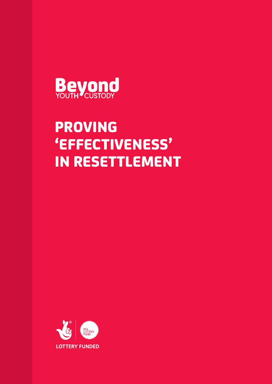

# PROVING 'EFFECTIVENESS' IN RESETTLEMENT

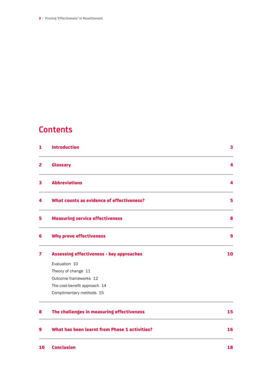2| **Proving 'Effectiveness' in Resettlement**

### **Contents**

| 1 | <b>Introduction</b>                             | 3  |
|---|-------------------------------------------------|----|
| 2 | <b>Glossary</b>                                 | 4  |
| 3 | <b>Abbreviations</b>                            | 4  |
| 4 | What counts as evidence of effectiveness?       | 5  |
| 5 | <b>Measuring service effectiveness</b>          | 8  |
| 6 | <b>Why prove effectiveness</b>                  | 9  |
| 7 | <b>Assessing effectiveness - key approaches</b> | 10 |
|   | Evaluation 10                                   |    |
|   | Theory of change 11                             |    |
|   | Outcome frameworks 12                           |    |
|   | The cost-benefit approach 14                    |    |
|   | Complimentary methods 15                        |    |
| 8 | The challenges in measuring effectiveness       | 15 |
| 9 | What has been learnt from Phase 1 activities?   | 16 |
|   |                                                 |    |

10 Conclusion 18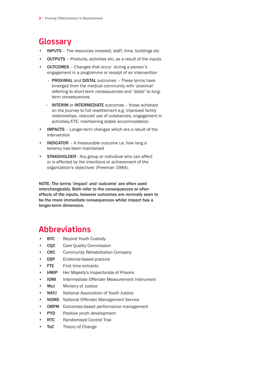### **Glossary**

- INPUTS The resources invested, staff, time, buildings etc
- **OUTPUTS** Products, activities etc, as a result of the inputs
- **OUTCOMES** Changes that occur during a person's engagement in a programme or receipt of an intervention
	- PROXIMAL and DISTAL outcomes These terms have emerged from the medical community with 'proximal' referring to short-term consequences and 'distal' to longterm consequences
	- INTERIM or INTERMEDIATE outcomes those achieved on the journey to full resettlement e.g. improved family relationships, reduced use of substances, engagement in activities/ETE, maintaining stable accommodation.
- IMPACTS Longer-term changes which are a result of the intervention
- **INDICATOR** A measurable outcome i.e. how long a tenancy has been maintained
- **STAKEHOLDER** Any group or individual who can affect or is affected by the intentions or achievement of the organization's objectives' (Freeman 1984).

NOTE: The terms 'impact' and 'outcome' are often used interchangeably. Both refer to the consequences or aftereffects of the inputs, however outcomes are normally seen to be the more immediate consequences whilst impact has a longer-term dimension.

## **Abbreviations**

- BYC Beyond Youth Custody
- **CQC** Care Quality Commission
- **CRC** Community Rehabilitation Company
- **EBP** Evidence-based practice
- **FTE** First time entrants
- **HMIP** Her Majesty's Inspectorate of Prisons
- **IOMI** Intermediate Offender Measurement Instrument
- **MoJ** Ministry of Justice
- NAYJ National Association of Youth Justice
- **NOMS** National Offender Management Service
- OBPM Outcomes-based performance management
- **PYD** Positive youth development
- **RTC** Randomised Control Trial
- **ToC** Theory of Change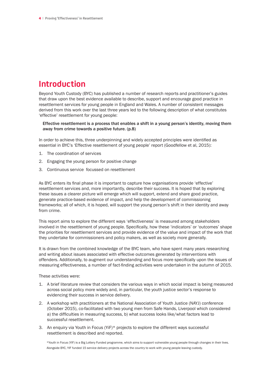# **Introduction**

Beyond Youth Custody (BYC) has published a number of research reports and practitioner's guides that draw upon the best evidence available to describe, support and encourage good practice in resettlement services for young people in England and Wales. A number of consistent messages derived from this work over the last three years led to the following description of what constitutes 'effective' resettlement for young people:

Effective resettlement is a process that enables a shift in a young person's identity, moving them away from crime towards a positive future. (p.8)

In order to achieve this, three underpinning and widely accepted principles were identified as essential in BYC's 'Effective resettlement of young people' report (Goodfellow et al, 2015):

- 1. The coordination of services
- 2. Engaging the young person for positive change
- 3. Continuous service focussed on resettlement

As BYC enters its final phase it is important to capture how organisations provide 'effective' resettlement services and, more importantly, describe their success. It is hoped that by exploring these issues a clearer picture will emerge which will support, extend and share good practice, generate practice-based evidence of impact, and help the development of commissioning frameworks; all of which, it is hoped, will support the young person's shift in their identity and away from crime.

This report aims to explore the different ways 'effectiveness' is measured among stakeholders involved in the resettlement of young people. Specifically, how these 'indicators' or 'outcomes' shape the priorities for resettlement services and provide evidence of the value and impact of the work that they undertake for commissioners and policy makers, as well as society more generally.

It is drawn from the combined knowledge of the BYC team, who have spent many years researching and writing about issues associated with effective outcomes generated by interventions with offenders. Additionally, to augment our understanding and focus more specifically upon the issues of measuring effectiveness, a number of fact-finding activities were undertaken in the autumn of 2015.

These activities were:

- 1. A brief literature review that considers the various ways in which social impact is being measured across social policy more widely and, in particular, the youth justice sector's response to evidencing their success in service delivery.
- 2. A workshop with practitioners at the National Association of Youth Justice (NAYJ) conference (October 2015), co-facilitated with two young men from Safe Hands, Liverpool which considered a) the difficulties in measuring success, b) what success looks like/what factors lead to successful resettlement.
- 3. An enquiry via Youth in Focus (YiF)\* projects to explore the different ways successful resettlement is described and reported.

\*Youth in Focus (YIF) is a Big Lottery Funded programme, which aims to support vulnerable young people through changes in their lives. Alongside BYC, YIF funded 15 service delivery projects across the country to work with young people leaving custody.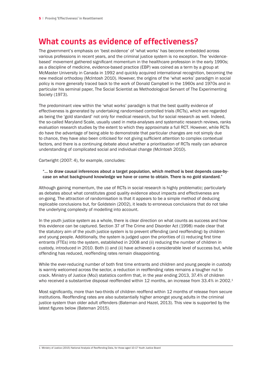### **What counts as evidence of effectiveness?**

The government's emphasis on 'best evidence' of 'what works' has become embedded across various professions in recent years, and the criminal justice system is no exception. The 'evidencebased' movement gathered significant momentum in the healthcare profession in the early 1990s; as a discipline of medicine, evidence-based practice (EBP) was coined as a term by a group at McMaster University in Canada in 1992 and quickly acquired international recognition, becoming the new medical orthodoxy (McIntosh 2010). However, the origins of the 'what works' paradigm in social policy is more generally traced back to the work of Donald Campbell in the 1960s and 1970s and in particular his seminal paper, The Social Scientist as Methodological Servant of The Experimenting Society (1973).

The predominant view within the 'what works' paradigm is that the best quality evidence of effectiveness is generated by undertaking randomised controlled trials (RCTs), which are regarded as being the 'gold standard' not only for medical research, but for social research as well. Indeed, the so-called Maryland Scale, usually used in meta-analyses and systematic research reviews, ranks evaluation research studies by the extent to which they approximate a full RCT. However, while RCTs do have the advantage of being able to demonstrate that particular changes are not simply due to chance, they have also been criticised for not giving sufficient attention to complex contextual factors, and there is a continuing debate about whether a prioritisation of RCTs really can advance understanding of complicated social and individual change (McIntosh 2010).

Cartwright (2007: 4), for example, concludes:

#### "… to draw causal inferences about a target population, which method is best depends case-bycase on what background knowledge we have or come to obtain. There is no gold standard."

Although gaining momentum, the use of RCTs in social research is highly problematic; particularly as debates about what constitutes good quality evidence about impacts and effectiveness are on-going. The attraction of randomisation is that it appears to be a simple method of deducing replicable conclusions but, for Goldstein (2002), it leads to erroneous conclusions that do not take the underlying complexity of modelling into account.

In the youth justice system as a whole, there is clear direction on what counts as success and how this evidence can be captured. Section 37 of The Crime and Disorder Act (1998) made clear that the statutory aim of the youth justice system is to prevent offending (and reoffending) by children and young people. Additionally, the system is judged upon the priorities of (i) reducing first time entrants (FTEs) into the system, established in 2008 and (ii) reducing the number of children in custody, introduced in 2010. Both (i) and (ii) have achieved a considerable level of success but, while offending has reduced, reoffending rates remain disappointing.

While the ever-reducing number of both first time entrants and children and young people in custody is warmly welcomed across the sector, a reduction in reoffending rates remains a tougher nut to crack. Ministry of Justice (MoJ) statistics confirm that, in the year ending 2013, 37.4% of children who received a substantive disposal reoffended within 12 months, an increase from 33.4% in 2002.<sup>1</sup>

Most significantly, more than two-thirds of children reoffend within 12 months of release from secure institutions. Reoffending rates are also substantially higher amongst young adults in the criminal justice system than older adult offenders (Bateman and Hazel, 2013). This view is supported by the latest figures below (Bateman 2015).

1 Ministry of Justice (2015) National Analysis of Reoffending Data, for those aged 10-17 Youth Justice Board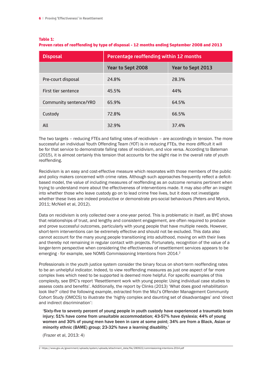#### Table 1:

| Proven rates of reoffending by type of disposal - 12 months ending September 2008 and 2013 |  |  |  |  |
|--------------------------------------------------------------------------------------------|--|--|--|--|
|                                                                                            |  |  |  |  |

| <b>Disposal</b>        | Percentage reoffending within 12 months |                   |  |  |  |
|------------------------|-----------------------------------------|-------------------|--|--|--|
|                        | Year to Sept 2008                       | Year to Sept 2013 |  |  |  |
| Pre-court disposal     | 24.8%                                   | 28.3%             |  |  |  |
| First tier sentence    | 45.5%                                   | 44%               |  |  |  |
| Community sentence/YRO | 65.9%                                   | 64.5%             |  |  |  |
| Custody                | 72.8%                                   | 66.5%             |  |  |  |
| All                    | 32.9%                                   | 37.4%             |  |  |  |

The two targets – reducing FTEs and falling rates of recidivism – are accordingly in tension. The more successful an individual Youth Offending Team (YOT) is in reducing FTEs, the more difficult it will be for that service to demonstrate falling rates of recidivism, and vice versa. According to Bateman (2015), it is almost certainly this tension that accounts for the slight rise in the overall rate of youth reoffending.

Recidivism is an easy and cost-effective measure which resonates with those members of the public and policy makers concerned with crime rates. Although such approaches frequently reflect a deficitbased model, the value of including measures of reoffending as an outcome remains pertinent when trying to understand more about the effectiveness of interventions made. It may also offer an insight into whether those who leave custody go on to lead crime free lives, but it does not investigate whether these lives are indeed productive or demonstrate pro-social behaviours (Peters and Myrick, 2011; McNiell et al, 2012).

Data on recidivism is only collected over a one-year period. This is problematic in itself, as BYC shows that relationships of trust, and lengthy and consistent engagement, are often required to produce and prove successful outcomes, particularly with young people that have multiple needs. However, short-term interventions can be extremely effective and should not be excluded. This data also cannot account for the many young people transitioning into adulthood, moving on with their lives and thereby not remaining in regular contact with projects. Fortunately, recognition of the value of a longer-term perspective when considering the effectiveness of resettlement services appears to be emerging - for example, see NOMS Commissioning Intentions from 2014.<sup>2</sup>

Professionals in the youth justice system consider the binary focus on short-term reoffending rates to be an unhelpful indicator. Indeed, to view reoffending measures as just one aspect of far more complex lives which need to be supported is deemed more helpful. For specific examples of this complexity, see BYC's report 'Resettlement work with young people: Using individual case studies to assess costs and benefits'. Additionally, the report by Clinks (2013) 'What does good rehabilitation look like?' cited the following example, extracted from the MoJ's Offender Management Community Cohort Study (OMCCS) to illustrate the 'highly complex and daunting set of disadvantages' and 'direct and indirect discrimination':

'Sixty-five to seventy percent of young people in youth custody have experienced a traumatic brain injury; 51% have come from unsuitable accommodation; 43-57% have dyslexia; 44% of young women and 30% of young men have been in care at some point; 34% are from a Black, Asian or minority ethnic (BAME) group; 23-32% have a learning disability.'

(Frazer et al, 2013: 4)

<sup>2</sup> https://www.gov.uk/government/uploads/system/uploads/attachment\_data/file/280922/commissioning-intentions-2014.pdf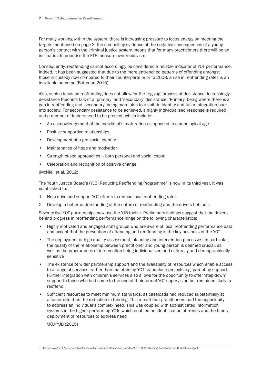For many working within the system, there is increasing pressure to focus energy on meeting the targets mentioned on page 3; the compelling evidence of the negative consequences of a young person's contact with the criminal justice system means that for many practitioners there will be an inclination to prioritise the FTE measure over recidivism.

Consequently, reoffending cannot accordingly be considered a reliable indicator of YOT performance. Indeed, it has been suggested that due to the more entrenched patterns of offending amongst those in custody now compared to their counterparts prior to 2008, a rise in reoffending rates is an inevitable outcome (Bateman 2015).

Also, such a focus on reoffending does not allow for the 'zig-zag' process of desistance. Increasingly desistance theorists talk of a 'primary' and 'secondary' desistance. 'Primary' being where there is a gap in reoffending and 'secondary' being more akin to a shift in identity and fuller integration back into society. For secondary desistance to be achieved, a highly individualised response is required and a number of factors need to be present, which include:

- An acknowledgement of the individual's maturation as opposed to chronological age
- Positive supportive relationships
- Development of a pro-social identity
- Maintenance of hope and motivation
- Strength-based approaches both personal and social capital
- Celebration and recognition of positive change

(McNiell et al, 2012)

The Youth Justice Board's (YJB) Reducing Reoffending Programme<sup>3</sup> is now in its third year. It was established to:

- 1. Help drive and support YOT efforts to reduce local reoffending rates
- 2. Develop a better understanding of the nature of reoffending and the drivers behind it

Seventy-five YOT partnerships now use the YJB toolkit. Preliminary findings suggest that the drivers behind progress in reoffending performance hinge on the following characteristics:

- Highly motivated and engaged staff groups who are aware of local reoffending performance data and accept that the prevention of offending and reoffending is the key business of the YOT
- The deployment of high quality assessment, planning and intervention processes. In particular, the quality of the relationship between practitioner and young person is deemed crucial, as well as the programmes of intervention being individualised and culturally and demographically sensitive
- The existence of wider partnership support and the availability of resources which enable access to a range of services, rather than maintaining YOT standalone projects e.g. parenting support. Further integration with children's services also allows for the opportunity to offer 'step-down' support to those who had come to the end of their formal YOT supervision but remained likely to reoffend
- Sufficient resources to meet minimum standards, as caseloads had reduced substantially at a faster rate than the reduction in funding. This meant that practitioners had the opportunity to address an individual's complex need. This was coupled with sophisticated information systems in the higher performing YOTs which enabled an identification of trends and the timely deployment of resources to address need

MOJ/YJB (2015)

<sup>3</sup> https://www.gov.uk/government/uploads/system/uploads/attachment\_data/file/479708/Reoffending\_Furthering\_Our\_Understanding.pdf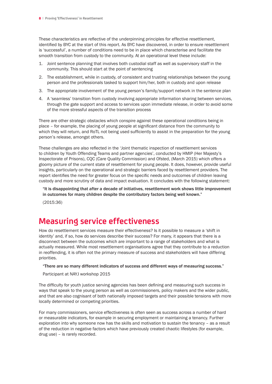These characteristics are reflective of the underpinning principles for effective resettlement, identified by BYC at the start of this report. As BYC have discovered, in order to ensure resettlement is 'successful', a number of conditions need to be in place which characterise and facilitate the smooth transition from custody to the community. At an operational level these include:

- 1. Joint sentence planning that involves both custodial staff as well as supervisory staff in the community. This should start at the point of sentencing
- 2. The establishment, while in custody, of consistent and trusting relationships between the young person and the professionals tasked to support him/her, both in custody and upon release
- 3. The appropriate involvement of the young person's family/support network in the sentence plan
- 4. A 'seamless' transition from custody involving appropriate information sharing between services, through the gate support and access to services upon immediate release, in order to avoid some of the more stressful aspects of the transition process

There are other strategic obstacles which conspire against these operational conditions being in place – for example, the placing of young people at significant distance from the community to which they will return, and RoTL not being used sufficiently to assist in the preparation for the young person's release, amongst others.

These challenges are also reflected in the 'Joint thematic inspection of resettlement services to children by Youth Offending Teams and partner agencies', conducted by HMIP (Her Majesty's Inspectorate of Prisons), CQC (Care Quality Commission) and Ofsted, (March 2015) which offers a gloomy picture of the current state of resettlement for young people. It does, however, provide useful insights, particularly on the operational and strategic barriers faced by resettlement providers. The report identifies the need for greater focus on the specific needs and outcomes of children leaving custody and more scrutiny of data and impact evaluation. It concludes with the following statement:

"It is disappointing that after a decade of initiatives, resettlement work shows little improvement in outcomes for many children despite the contributory factors being well known."

(2015:36)

### **Measuring service effectiveness**

How do resettlement services measure their effectiveness? Is it possible to measure a 'shift in identity' and, if so, how do services describe their success? For many, it appears that there is a disconnect between the outcomes which are important to a range of stakeholders and what is actually measured. While most resettlement organisations agree that they contribute to a reduction in reoffending, it is often not the primary measure of success and stakeholders will have differing priorities.

#### "There are so many different indicators of success and different ways of measuring success."

Participant at NAYJ workshop 2015

The difficulty for youth justice serving agencies has been defining and measuring such success in ways that speak to the young person as well as commissioners, policy makers and the wider public, and that are also cognisant of both nationally imposed targets and their possible tensions with more locally determined or competing priorities.

For many commissioners, service effectiveness is often seen as success across a number of hard or measurable indicators, for example in securing employment or maintaining a tenancy. Further exploration into why someone now has the skills and motivation to sustain the tenancy – as a result of the reduction in negative factors which have previously created chaotic lifestyles (for example, drug use) – is rarely recorded.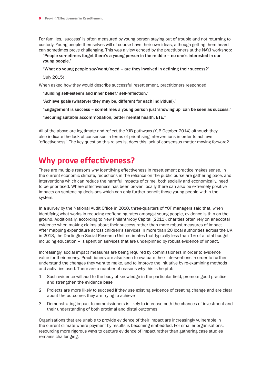For families, 'success' is often measured by young person staying out of trouble and not returning to custody. Young people themselves will of course have their own ideas, although getting them heard can sometimes prove challenging. This was a view echoed by the practitioners at the NAYJ workshop:

"People sometimes forget there's a young person in the middle – no one's interested in our young people."

#### "What do young people say/want/need – are they involved in defining their success?"

(July 2015)

When asked how they would describe successful resettlement, practitioners responded:

- "Building self-esteem and inner belief/ self-reflection."
- "Achieve goals (whatever they may be, different for each individual)."
- "Engagement is success sometimes a young person just 'showing up' can be seen as success."
- "Securing suitable accommodation, better mental health, ETE."

All of the above are legitimate and reflect the YJB pathways (YJB October 2014) although they also indicate the lack of consensus in terms of prioritising interventions in order to achieve 'effectiveness'. The key question this raises is, does this lack of consensus matter moving forward?

### **Why prove effectiveness?**

There are multiple reasons why identifying effectiveness in resettlement practice makes sense. In the current economic climate, reductions in the reliance on the public purse are gathering pace, and interventions which can reduce the harmful impacts of crime, both socially and economically, need to be prioritised. Where effectiveness has been proven locally there can also be extremely positive impacts on sentencing decisions which can only further benefit those young people within the system.

In a survey by the National Audit Office in 2010, three-quarters of YOT managers said that, when identifying what works in reducing reoffending rates amongst young people, evidence is thin on the ground. Additionally, according to New Philanthropy Capital (2011), charities often rely on anecdotal evidence when making claims about their success rather than more robust measures of impact. After mapping expenditure across children's services in more than 20 local authorities across the UK in 2013, the Dartington Social Research Unit estimates that typically less than 1% of a total budget – including education – is spent on services that are underpinned by robust evidence of impact.

Increasingly, social impact measures are being required by commissioners in order to evidence value for their money. Practitioners are also keen to evaluate their interventions in order to further understand the changes they want to make, and to improve the initiative by re-examining methods and activities used. There are a number of reasons why this is helpful:

- 1. Such evidence will add to the body of knowledge in the particular field, promote good practice and strengthen the evidence base
- 2. Projects are more likely to succeed if they use existing evidence of creating change and are clear about the outcomes they are trying to achieve
- 3. Demonstrating impact to commissioners is likely to increase both the chances of investment and their understanding of both proximal and distal outcomes

Organisations that are unable to provide evidence of their impact are increasingly vulnerable in the current climate where payment by results is becoming embedded. For smaller organisations, resourcing more rigorous ways to capture evidence of impact rather than gathering case studies remains challenging.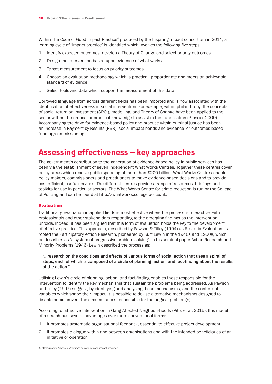Within The Code of Good Impact Practice<sup>4</sup> produced by the Inspiring Impact consortium in 2014, a learning cycle of 'impact practice' is identified which involves the following five steps:

- 1. Identify expected outcomes, develop a Theory of Change and select priority outcomes
- 2. Design the intervention based upon evidence of what works
- 3. Target measurement to focus on priority outcomes
- 4. Choose an evaluation methodology which is practical, proportionate and meets an achievable standard of evidence
- 5. Select tools and data which support the measurement of this data

Borrowed language from across different fields has been imported and is now associated with the identification of effectiveness in social intervention. For example, within philanthropy, the concepts of social return on investment (SROI), modelling, and Theory of Change have been applied to the sector without theoretical or practical knowledge to assist in their application (Proscio, 2000). Accompanying the drive for evidence-based policy and practice within criminal justice has been an increase in Payment by Results (PBR), social impact bonds and evidence- or outcomes-based funding/commissioning.

### **Assessing effectiveness – key approaches**

The government's contribution to the generation of evidence-based policy in public services has been via the establishment of seven independent What Works Centres. Together these centres cover policy areas which receive public spending of more than £200 billion. What Works Centres enable policy makers, commissioners and practitioners to make evidence-based decisions and to provide cost-efficient, useful services. The different centres provide a range of resources, briefings and toolkits for use in particular sectors. The What Works Centre for crime reduction is run by the College of Policing and can be found at http://whatworks.college.police.uk.

#### Evaluation

Traditionally, evaluation in applied fields is most effective where the process is interactive, with professionals and other stakeholders responding to the emerging findings as the intervention unfolds. Indeed, it has been argued that this form of evaluation holds the key to the development of effective practice. This approach, described by Pawson & Tilley (1994) as Realistic Evaluation, is rooted the Participatory Action Research, pioneered by Kurt Lewin in the 1940s and 1950s, which he describes as 'a system of progressive problem-solving'. In his seminal paper Action Research and Minority Problems (1946) Lewin described the process as:

"...research on the conditions and effects of various forms of social action that uses a spiral of steps, each of which is composed of a circle of planning, action, and fact-finding about the results of the action."

Utilising Lewin's circle of planning, action, and fact-finding enables those responsible for the intervention to identify the key mechanisms that sustain the problems being addressed. As Pawson and Tilley (1997) suggest, by identifying and analysing these mechanisms, and the contextual variables which shape their impact, it is possible to devise alternative mechanisms designed to disable or circumvent the circumstances responsible for the original problem(s).

According to 'Effective Intervention in Gang Affected Neighbourhoods (Pitts et al, 2015), this model of research has several advantages over more conventional forms:

- 1. It promotes systematic organisational feedback, essential to effective project development
- 2. It promotes dialogue within and between organisations and with the intended beneficiaries of an initiative or operation

<sup>4</sup> http://inspiringimpact.org/listing/the-code-of-good-impact-practice/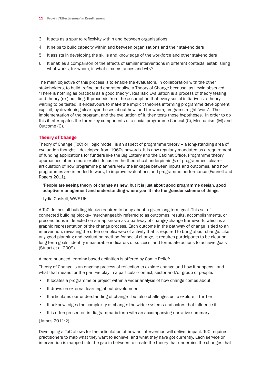- 3. It acts as a spur to reflexivity within and between organisations
- 4. It helps to build capacity within and between organisations and their stakeholders
- 5. It assists in developing the skills and knowledge of the workforce and other stakeholders
- 6. It enables a comparison of the effects of similar interventions in different contexts, establishing what works, for whom, in what circumstances and why?

The main objective of this process is to enable the evaluators, in collaboration with the other stakeholders, to build, refine and operationalise a Theory of Change because, as Lewin observed, "There is nothing as practical as a good theory". Realistic Evaluation is a process of theory testing and theory (re-) building. It proceeds from the assumption that every social initiative is a theory waiting to be tested. It endeavours to make the implicit theories informing programme development explicit, by developing clear hypotheses about how, and for whom, programs might 'work'. The implementation of the program, and the evaluation of it, then tests those hypotheses. In order to do this it interrogates the three key components of a social programme Context (C), Mechanism (M) and Outcome (O).

#### Theory of Change

Theory of Change (ToC) or 'logic model' is an aspect of programme theory – a long-standing area of evaluation thought – developed from 1960s onwards. It is now regularly mandated as a requirement of funding applications for funders like the Big Lottery and the Cabinet Office. Programme theory approaches offer a more explicit focus on the theoretical underpinnings of programmes, clearer articulation of how programme planners view the linkages between inputs and outcomes, and how programmes are intended to work, to improve evaluations and programme performance (Funnell and Rogers 2011).

'People are seeing theory of change as new, but it is just about good programme design, good adaptive management and understanding where you fit into the grander scheme of things.'

Lydia Gaskell, WWF-UK

A ToC defines all building blocks required to bring about a given long-term goal. This set of connected building blocks–interchangeably referred to as outcomes, results, accomplishments, or preconditions is depicted on a map known as a pathway of change/change framework, which is a graphic representation of the change process. Each outcome in the pathway of change is tied to an intervention, revealing the often complex web of activity that is required to bring about change. Like any good planning and evaluation method for social change, it requires participants to be clear on long-term goals, identify measurable indicators of success, and formulate actions to achieve goals (Stuart et al 2009).

A more nuanced learning-based definition is offered by Comic Relief:

Theory of Change is an ongoing process of reflection to explore change and how it happens - and what that means for the part we play in a particular context, sector and/or group of people.

- It locates a programme or project within a wider analysis of how change comes about
- It draws on external learning about development
- It articulates our understanding of change but also challenges us to explore it further
- It acknowledges the complexity of change: the wider systems and actors that influence it
- It is often presented in diagrammatic form with an accompanying narrative summary.

#### (James 2011:2)

Developing a ToC allows for the articulation of how an intervention will deliver impact. ToC requires practitioners to map what they want to achieve, and what they have got currently. Each service or intervention is mapped into the gap in between to create the theory that underpins the changes that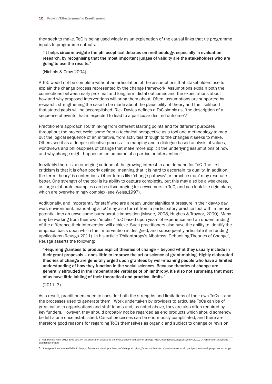they seek to make. ToC is being used widely as an explanation of the causal links that tie programme inputs to programme outputs.

#### "It helps circumnavigate the philosophical debates on methodology, especially in evaluation research, by recognising that the most important judges of validity are the stakeholders who are going to use the results."

(Nichols & Crow 2004).

A ToC would not be complete without an articulation of the assumptions that stakeholders use to explain the change process represented by the change framework. Assumptions explain both the connections between early proximal and long-term distal outcomes and the expectations about how and why proposed interventions will bring them about. Often, assumptions are supported by research, strengthening the case to be made about the plausibility of theory and the likelihood that stated goals will be accomplished. Rick Davies defines a ToC simply as, 'the description of a sequence of events that is expected to lead to a particular desired outcome'.5

Practitioners approach ToC thinking from different starting points and for different purposes throughout the project cycle; some from a technical perspective as a tool and methodology to map out the logical sequence of an initiative, from activities through to the changes it seeks to make. Others see it as a deeper reflective process – a mapping and a dialogue-based analysis of values, worldviews and philosophies of change that make more explicit the underlying assumptions of how and why change might happen as an outcome of a particular intervention.<sup>6</sup>

Inevitably there is an emerging critique of the growing interest in and demand for ToC. The first criticism is that it is often poorly defined, meaning that it is hard to ascertain its quality. In addition, the term 'theory' is contentious. Other terms like 'change pathway' or 'practice map' may resonate better. One strength of the tool is its ability to capture complexity, but this may also be a weakness, as large elaborate examples can be discouraging for newcomers to ToC, and can look like rigid plans, which are overwhelmingly complex (see Weiss,1997).

Additionally, and importantly for staff who are already under significant pressure in their day-to day work environment, mandating a ToC may also turn it from a participatory practice tool with immense potential into an unwelcome bureaucratic imposition (Mayne, 2008, Hughes & Traynor, 2000). Many may be working from their own 'implicit' ToC based upon years of experience and an understanding of the difference their intervention will achieve. Such practitioners also have the ability to identify the empirical basis upon which their intervention is designed, and subsequently articulate it in funding applications (Reusga 2011). In his article 'Philanthropy's Albatross: Debunking Theories of Change', Reusga asserts the following:

"Requiring grantees to produce explicit theories of change – beyond what they usually include in their grant proposals – does little to improve the art or science of grant-making. Highly elaborated theories of change are generally urged upon grantees by well-meaning people who have a limited understanding of how they function in the social sciences. Because theories of change are generally shrouded in the impenetrable verbiage of philanthropy, it's also not surprising that most of us have little inkling of their theoretical and practical limits."

#### (2011: 3)

As a result, practitioners need to consider both the strengths and limitations of their own ToCs – and the processes used to generate them. Work undertaken by providers to articulate ToCs can be of great value to organisations and staff teams and, as noted above, they are also often required by key funders. However, they should probably not be regarded as end products which should somehow be left alone once established. Causal processes can be enormously complicated, and there are therefore good reasons for regarding ToCs themselves as organic and subject to change or revision.

<sup>5</sup> Rick Davies, April 2012: Blog post on the criteria for assessing the evaluability of a theory of change http://mandenews.blogspot.co.uk/2012/04/criteria-for-assessingevaluablity-of.html

<sup>6</sup> A range of tools are available to help professionals develop a theory of change at https://www.youthimpact.uk/resources-hub/impact-journey/developing-theory-change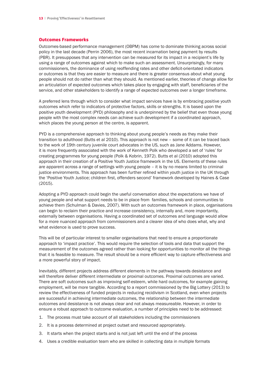#### Outcomes Frameworks

Outcomes-based performance management (OBPM) has come to dominate thinking across social policy in the last decade (Perrin 2006), the most recent incarnation being payment by results (PBR). It presupposes that any intervention can be measured for its impact in a recipient's life by using a range of outcomes against which to make such an assessment. Unsurprisingly, for many commissioners, the dominance of using reoffending rates and other deficit-orientated indicators or outcomes is that they are easier to measure and there is greater consensus about what young people should not do rather than what they should. As mentioned earlier, theories of change allow for an articulation of expected outcomes which takes place by engaging with staff, beneficiaries of the service, and other stakeholders to identify a range of expected outcomes over a longer timeframe.

A preferred lens through which to consider what impact services have is by embracing positive youth outcomes which refer to indicators of protective factors, skills or strengths. It is based upon the positive youth development (PYD) philosophy and is underpinned by the belief that even those young people with the most complex needs can achieve such development if a coordinated approach, which places the young person at the centre, is apparent.

PYD is a comprehensive approach to thinking about young people's needs as they make their transition to adulthood (Butts et al 2010). This approach is not new – some of it can be traced back to the work of 19th century juvenile court advocates in the US, such as Jane Addams. However, it is more frequently associated with the work of Kenneth Polk who developed a set of 'rules' for creating programmes for young people (Polk & Kobrin, 1972). Butts et al (2010) adopted this approach in their creation of a Positive Youth Justice framework in the US. Elements of these rules are apparent across a range of settings with young people – it is by no means limited to criminal justice environments. This approach has been further refined within youth justice in the UK through the 'Positive Youth Justice; children first, offenders second' framework developed by Haines & Case (2015).

Adopting a PYD approach could begin the useful conversation about the expectations we have of young people and what support needs to be in place from families, schools and communities to achieve them (Schulman & Davies, 2007). With such an outcomes framework in place, organisations can begin to reclaim their practice and increase consistency, internally and, more importantly, externally between organisations. Having a coordinated set of outcomes and language would allow for a more nuanced approach from commissioners and a clearer idea of who does what, why and what evidence is used to prove success.

This will be of particular interest to smaller organisations that need to ensure a proportionate approach to 'impact practice'. This would require the selection of tools and data that support the measurement of the outcomes agreed rather than looking for opportunities to monitor all the things that it is feasible to measure. The result should be a more efficient way to capture effectiveness and a more powerful story of impact.

Inevitably, different projects address different elements in the pathway towards desistance and will therefore deliver different intermediate or proximal outcomes. Proximal outcomes are varied. There are soft outcomes such as improving self-esteem, while hard outcomes, for example gaining employment, will be more tangible. According to a report commissioned by the Big Lottery (2013) to review the effectiveness of funded projects in reducing recidivism in Scotland, even when projects are successful in achieving intermediate outcomes, the relationship between the intermediate outcomes and desistance is not always clear and not always measureable. However, in order to ensure a robust approach to outcome evaluation, a number of principles need to be addressed:

- 1. The process must take account of all stakeholders including the commissioners
- 2. It is a process determined at project outset and resourced appropriately.
- 3. It starts when the project starts and is not just left until the end of the process
- 4. Uses a credible evaluation team who are skilled in collecting data in multiple formats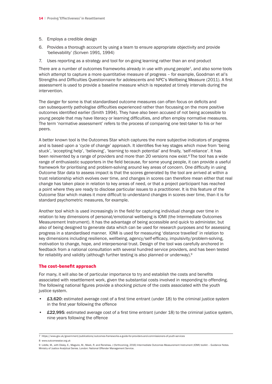- 5. Employs a credible design
- 6. Provides a thorough account by using a team to ensure appropriate objectivity and provide 'believability' (Scriven 1991, 1994)
- 7. Uses reporting as a strategy and tool for on-going learning rather than an end product

There are a number of outcomes frameworks already in use with young people7, and also some tools which attempt to capture a more quantitative measure of progress – for example, Goodman et al's Strengths and Difficulties Questionnaire for adolescents and NPC's Wellbeing Measure (2011). A first assessment is used to provide a baseline measure which is repeated at timely intervals during the intervention.

The danger for some is that standardised outcome measures can often focus on deficits and can subsequently pathologise difficulties experienced rather than focussing on the more positive outcomes identified earlier (Smith 1994). They have also been accused of not being accessible to young people that may have literacy or learning difficulties, and often employ normative measures. The term 'normative assessment' refers to the process of comparing one test-taker to his or her peers.

A better known tool is the Outcomes Star which captures the more subjective indicators of progress and is based upon a 'cycle of change' approach. It identifies five key stages which move from 'being stuck', 'accepting help', 'believing', 'learning to reach potential' and finally, 'self-reliance'. It has been reinvented by a range of providers and more than 20 versions now exist.<sup>8</sup>The tool has a wide range of enthusiastic supporters in the field because, for some young people, it can provide a useful framework for prioritising and problem-solving around key areas of concern. One difficulty in using Outcome Star data to assess impact is that the scores generated by the tool are arrived at within a trust relationship which evolves over time, and changes in scores can therefore mean either that real change has taken place in relation to key areas of need, or that a project participant has reached a point where they are ready to disclose particular issues to a practitioner. It is this feature of the Outcome Star which makes it more difficult to understand changes in scores over time, than it is for standard psychometric measures, for example.

Another tool which is used increasingly in the field for capturing individual change over time in relation to key dimensions of personal/emotional wellbeing is IOMI (the Intermediate Outcomes Measurement Instrument). It has the advantage of being accessible and quick to administer, but also of being designed to generate data which can be used for research purposes and for assessing progress in a standardised manner. IOMI is used for measuring 'distance travelled' in relation to key dimensions including resilience, wellbeing, agency/self-efficacy, impulsivity/problem-solving, motivation to change, hope, and interpersonal trust. Design of the tool was carefully anchored in feedback from a national consultation with several hundred service providers, and has been tested for reliability and validity (although further testing is also planned or underway).<sup>9</sup>

#### The cost-benefit approach

For many, it will also be of particular importance to try and establish the costs and benefits associated with resettlement work, given the substantial costs involved in responding to offending. The following national figures provide a shocking picture of the costs associated with the youth justice system.

- £3,620: estimated average cost of a first time entrant (under 18) to the criminal justice system in the first year following the offence
- £22,995: estimated average cost of a first time entrant (under 18) to the criminal justice system, nine years following the offence

<sup>7</sup> https://www.gov.uk/government/publications/outcomes-frameworks-a-guide-for-providers-and-commissioners-of-youth-services

<sup>8</sup> www.outcomesstar.org.uk

<sup>9</sup> Liddle, M., with Disley, E., Maguire, M., Meek, R. and Renshaw, J (forthcoming, 2016) Intermediate Outcomes Measurement Instrument (IOMI) toolkit – Guidance Notes. Ministry of Justice Analytical Series. London: National Offender Management Service.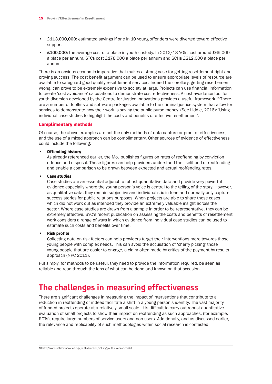- £113,000,000: estimated savings if one in 10 young offenders were diverted toward effective support
- £100,000: the average cost of a place in youth custody. In  $2012/13$  YOIs cost around £65,000 a place per annum, STCs cost £178,000 a place per annum and SCHs £212,000 a place per annum

There is an obvious economic imperative that makes a strong case for getting resettlement right and proving success. The cost benefit argument can be used to ensure appropriate levels of resource are available to safeguard good quality resettlement services. Indeed the corollary, getting resettlement wrong, can prove to be extremely expensive to society at large. Projects can use financial information to create 'cost-avoidance' calculations to demonstrate cost effectiveness. A cost avoidance tool for youth diversion developed by the Centre for Justice Innovations provides a useful framework.<sup>10</sup> There are a number of toolkits and software packages available to the criminal justice system that allow for services to demonstrate how their work is saving the public purse money. (See Liddle, 2016): 'Using individual case studies to highlight the costs and benefits of effective resettlement'.

#### Complimentary methods

Of course, the above examples are not the only methods of data capture or proof of effectiveness, and the use of a mixed approach can be complimentary. Other sources of evidence of effectiveness could include the following:

#### **Offending history**

As already referenced earlier, the MoJ publishes figures on rates of reoffending by conviction offence and disposal. These figures can help providers understand the likelihood of reoffending and enable a comparison to be drawn between expected and actual reoffending rates.

#### **Case studies**

Case studies are an essential adjunct to robust quantitative data and provide very powerful evidence especially where the young person's voice is central to the telling of the story. However, as qualitative data, they remain subjective and individualistic in tone and normally only capture success stories for public relations purposes. When projects are able to share those cases which did not work out as intended they provide an extremely valuable insight across the sector. Where case studies are drawn from a sample in order to be representative, they can be extremely effective. BYC's recent publication on assessing the costs and benefits of resettlement work considers a range of ways in which evidence from individual case studies can be used to estimate such costs and benefits over time.

#### **Risk profile**

Collecting data on risk factors can help providers target their interventions more towards those young people with complex needs. This can avoid the accusation of 'cherry picking' those young people that are easier to engage, a claim often made by critics of the payment by results approach (NPC 2011).

Put simply, for methods to be useful, they need to provide the information required, be seen as reliable and read through the lens of what can be done and known on that occasion.

### **The challenges in measuring effectiveness**

There are significant challenges in measuring the impact of interventions that contribute to a reduction in reoffending or indeed facilitate a shift in a young person's identity. The vast majority of funded projects operate at a relatively small scale. It is difficult to carry out robust quantitative evaluation of small projects to show their impact on reoffending as such approaches, (for example, RCTs), require large numbers of service users and non-users. Additionally, and as discussed earlier, the relevance and replicability of such methodologies within social research is contested.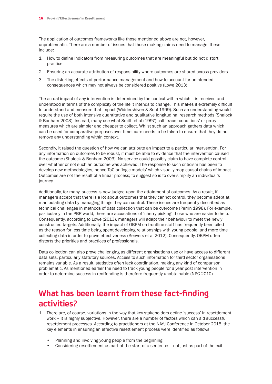The application of outcomes frameworks like those mentioned above are not, however, unproblematic. There are a number of issues that those making claims need to manage, these include:

- 1. How to define indicators from measuring outcomes that are meaningful but do not distort practice
- 2. Ensuring an accurate attribution of responsibility where outcomes are shared across providers
- 3. The distorting effects of performance management and how to account for unintended consequences which may not always be considered positive (Lowe 2013)

The actual impact of any intervention is determined by the context within which it is received and understood in terms of the complexity of the life it intends to change. This makes it extremely difficult to understand and measure that impact (Widdershiven & Sohl 1999). Such an understanding would require the use of both intensive quantitative and qualitative longitudinal research methods (Shalock & Bonham 2003). Instead, many use what Smith et al (1997) call 'tracer conditions' or proxy measures which are simpler and cheaper to collect. Whilst such an approach gathers data which can be used for comparative purposes over time, care needs to be taken to ensure that they do not remove any understanding within context.

Secondly, it raised the question of how we can attribute an impact to a particular intervention. For any information on outcomes to be robust, it must be able to evidence that the intervention caused the outcome (Shalock & Bonham 2003). No service could possibly claim to have complete control over whether or not such an outcome was achieved. The response to such criticism has been to develop new methodologies, hence ToC or 'logic models' which visually map causal chains of impact. Outcomes are not the result of a linear process; to suggest so is to over-simplify an individual's journey.

Additionally, for many, success is now judged upon the attainment of outcomes. As a result, if managers accept that there is a lot about outcomes that they cannot control, they become adept at manipulating data by managing things they can control. These issues are frequently described as technical challenges in methods of data collection that can be overcome (Perrin 1998). For example, particularly in the PBR world, there are accusations of 'cherry picking' those who are easier to help. Consequently, according to Lowe (2013), managers will adapt their behaviour to meet the newly constructed targets. Additionally, the impact of OBPM on frontline staff has frequently been cited as the reason for less time being spent developing relationships with young people, and more time collecting data in order to prove effectiveness (Keevers et al 2012). Consequently, OBPM often distorts the priorities and practices of professionals.

Data collection can also prove challenging as different organisations use or have access to different data sets, particularly statutory sources. Access to such information for third sector organisations remains variable. As a result, statistics often lack coordination, making any kind of comparison problematic. As mentioned earlier the need to track young people for a year post intervention in order to determine success in reoffending is therefore frequently unobtainable (NPC 2010).

### **What has been learnt from these fact-finding activities?**

- 1. There are, of course, variations in the way that key stakeholders define 'success' in resettlement work – it is highly subjective. However, there are a number of factors which can aid successful resettlement processes. According to practitioners at the NAYJ Conference in October 2015, the key elements in ensuring an effective resettlement process were identified as follows:
	- Planning and involving young people from the beginning
	- Considering resettlement as part of the start of a sentence not just as part of the exit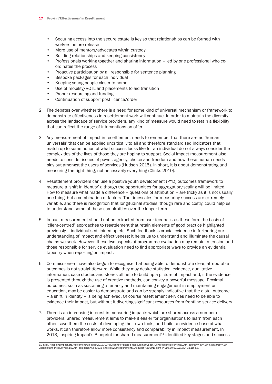- • Securing access into the secure estate is key so that relationships can be formed with workers before release
- More use of mentors/advocates within custody
- • Building relationships and keeping consistency
- Professionals working together and sharing information led by one professional who co- ordinates the process
- Proactive participation by all responsible for sentence planning
- Bespoke packages for each individual
- Keeping young people closer to home
- Use of mobility/ROTL and placements to aid transition
- Proper resourcing and funding
- Continuation of support post licence/order
- 2. The debates over whether there is a need for some kind of universal mechanism or framework to demonstrate effectiveness in resettlement work will continue. In order to maintain the diversity across the landscape of service providers, any kind of measure would need to retain a flexibility that can reflect the range of interventions on offer.
- 3. Any measurement of impact in resettlement needs to remember that there are no 'human universals' that can be applied uncritically to all and therefore standardised indicators that match up to some notion of what success looks like for an individual do not always consider the complexities of the lives of those they are hoping to support. Social impact measurement also needs to consider issues of power, agency, choice and freedom and how these human needs play out amongst the users of services (Hudson 2015). In short, it is about demonstrating and measuring the right thing, not necessarily everything (Clinks 2010).
- 4. Resettlement providers can use a positive youth development (PYD) outcomes framework to measure a 'shift in identity' although the opportunities for aggregation/scaling will be limited. How to measure what made a difference – questions of attribution – are tricky as it is not usually one thing, but a combination of factors. The timescales for measuring success are extremely variable, and there is recognition that longitudinal studies, though rare and costly, could help us to understand some of these complexities over the longer term
- 5. Impact measurement should not be extracted from user feedback as these form the basis of 'client-centred' approaches to resettlement that retain elements of good practice highlighted previously – individualised, joined up etc. Such feedback is crucial evidence in furthering our understanding of impact and effectiveness; it helps us to understand and illuminate the causal chains we seek. However, these two aspects of programme evaluation may remain in tension and those responsible for service evaluation need to find appropriate ways to provide an evidential tapestry when reporting on impact.
- 6. Commissioners have also begun to recognise that being able to demonstrate clear, attributable outcomes is not straightforward. While they may desire statistical evidence, qualitative information, case studies and stories all help to build up a picture of impact and, if the evidence is presented through the use of creative methods, can convey a powerful message. Proximal outcomes, such as sustaining a tenancy and maintaining engagement in employment or education, may be easier to demonstrate and can be strongly indicative that the distal outcome – a shift in identity – is being achieved. Of course resettlement services need to be able to evidence their impact, but without it diverting significant resources from frontline service delivery.
- 7. There is an increasing interest in measuring impacts which are shared across a number of providers. Shared measurement aims to make it easier for organisations to learn from each other, save them the costs of developing their own tools, and build an evidence base of what works. It can therefore allow more consistency and comparability in impact measurement. In 2013, Inspiring Impact's Blueprint for shared measurement<sup>11</sup> identified key stages and success

<sup>11</sup> http://inspiringimpact.org/wp-content/uploads/2013/03/blueprint-for-shared-measurement2.pdf?Downloadchecked=true&utm\_source=New%20Philanthropy%20 Capital&utm\_medium=email&utm\_campaign=6540192\_shared%20measurement%20launch%202016&dm\_i=UL9,3W6G0,L1WOF9,E1BPL,1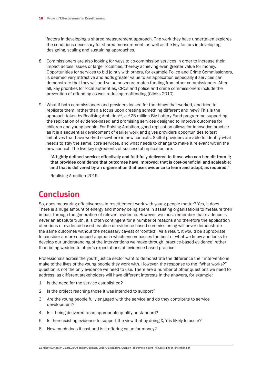factors in developing a shared measurement approach. The work they have undertaken explores the conditions necessary for shared measurement, as well as the key factors in developing, designing, scaling and sustaining approaches.

- 8. Commissioners are also looking for ways to co-commission services in order to increase their impact across issues or larger localities, thereby achieving even greater value for money. Opportunities for services to bid jointly with others, for example Police and Crime Commissioners, is deemed very attractive and adds greater value to an application especially if services can demonstrate that they will add value or secure match funding from other commissioners. After all, key priorities for local authorities, CRCs and police and crime commissioners include the prevention of offending as well reducing reoffending (Clinks 2010).
- 9. What if both commissioners and providers looked for the things that worked, and tried to replicate them, rather than a focus upon creating something different and new? This is the approach taken by Realising Ambition<sup>12</sup>, a £25 million Big Lottery Fund programme supporting the replication of evidence-based and promising services designed to improve outcomes for children and young people. For Raising Ambition, good replication allows for innovative practice as it is a sequential development of earlier work and gives providers opportunities to test initiatives that have worked elsewhere in new contexts. Skilful providers are able to identify what needs to stay the same, core services, and what needs to change to make it relevant within the new context. The five key ingredients of successful replication are:

"A tightly defined service; effectively and faithfully delivered to those who can benefit from it; that provides confidence that outcomes have improved; that is cost-beneficial and scaleable; and that is delivered by an organisation that uses evidence to learn and adapt, as required."

Realising Ambition 2015

### **Conclusion**

So, does measuring effectiveness in resettlement work with young people matter? Yes, it does. There is a huge amount of energy and money being spent in assisting organisations to measure their impact through the generation of relevant evidence. However, we must remember that evidence is never an absolute truth, it is often contingent for a number of reasons and therefore the application of notions of evidence-based practice or evidence-based commissioning will never demonstrate the same outcomes without the necessary caveat of 'context'. As a result, it would be appropriate to consider a more nuanced approach which encompasses the best of what we know and looks to develop our understanding of the interventions we make through 'practice-based evidence' rather than being wedded to other's expectations of 'evidence-based practice'.

Professionals across the youth justice sector want to demonstrate the difference their interventions make to the lives of the young people they work with. However, the response to the "What works?" question is not the only evidence we need to use. There are a number of other questions we need to address, as different stakeholders will have different interests in the answers, for example:

- 1. Is the need for the service established?
- 2. Is the project reaching those it was intended to support?
- 3. Are the young people fully engaged with the service and do they contribute to service development?
- 4. Is it being delivered to an appropriate quality or standard?
- 5. Is there existing evidence to support the view that by doing X, Y is likely to occur?
- 6. How much does it cost and is it offering value for money?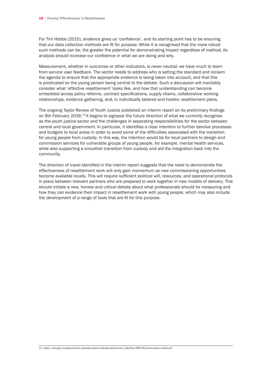For Tim Hobbs (2015), evidence gives us 'confidence', and its starting point has to be ensuring that our data collection methods are fit for purpose. While it is recognised that the more robust such methods can be, the greater the potential for demonstrating impact regardless of method, its analysis should increase our confidence in what we are doing and why.

Measurement, whether in outcomes or other indicators, is never neutral; we have much to learn from service user feedback. The sector needs to address who is setting the standard and reclaim the agenda to ensure that the appropriate evidence is being taken into account, and that this is predicated on the young person being central to the debate. Such a discussion will inevitably consider what 'effective resettlement' looks like, and how that understanding can become embedded across policy reforms, contract specifications, supply chains, collaborative working relationships, evidence gathering, and, in individually tailored and holistic resettlement plans.

The ongoing Taylor Review of Youth Justice published an interim report on its preliminary findings on 9th February 2016.<sup>13</sup> It begins to signpost the future direction of what we currently recognise as the youth justice sector and the challenges in separating responsibilities for the sector between central and local government. In particular, it identifies a clear intention to further devolve processes and budgets to local areas in order to avoid some of the difficulties associated with the transition for young people from custody. In this way, the intention would be for local partners to design and commission services for vulnerable groups of young people, for example, mental health services, while also supporting a smoother transition from custody and aid the integration back into the community.

The direction of travel identified in the interim report suggests that the need to demonstrate the effectiveness of resettlement work will only gain momentum as new commissioning opportunities become available locally. This will require sufficient political will, resources, and operational protocols in place between relevant partners who are prepared to work together in new models of delivery. This should initiate a new, honest and critical debate about what professionals should be measuring and how they can evidence their impact in resettlement work with young people, which may also include the development of a range of tools that are fit for this purpose.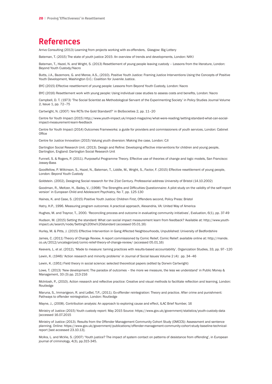### **References**

Arrivo Consulting (2013) Learning from projects working with ex-offenders, Glasgow: Big Lottery

Bateman, T. (2015) The state of youth justice 2015: An overview of trends and developments, London: NAYJ

Bateman, T., Hazel, N. and Wright, S. (2013) Resettlement of young people leaving custody – Lessons from the literature, London: Beyond Youth Custody/Nacro

Butts, J.A., Bazemore, G. and Meroe, A.S., (2010). Positive Youth Justice: Framing Justice Interventions Using the Concepts of Positive Youth Development, Washington D.C.: Coalition for Juvenile Justice.

BYC (2015) Effective resettlement of young people: Lessons from Beyond Youth Custody, London: Nacro

BYC (2016) Resettlement work with young people: Using individual case studies to assess costs and benefits, London: Nacro

Campbell, D. T. (1973) 'The Social Scientist as Methodological Servant of the Experimenting Society' in Policy Studies Journal Volume 2, Issue 1, pp. 72–75

Cartwright, N. (2007) 'Are RCTs the Gold Standard?' in BioSocieties 2, pp. 11–20

Centre for Youth Impact (2015) http://www.youth-impact.uk/impact-magazine/what-were-reading/setting-standard-what-can-socialimpact-measurement-learn-feedback

Centre for Youth Impact (2014) Outcomes Frameworks: a guide for providers and commissioners of youth services, London: Cabinet **Office** 

Centre for Justice Innovation (2015) Valuing youth diversion: Making the case, London: CJI

Dartington Social Research Unit. (2013). Design and Refine: Developing effective interventions for children and young people, Dartington, England: Dartington Social Research Unit

Funnell, S. & Rogers, P. (2011). Purposeful Programme Theory. Effective use of theories of change and logic models, San Francisco: Jossey-Bass

Goodfellow, P. Wilkinson, S., Hazel, N., Bateman, T., Liddle, M., Wright, S., Factor, F. (2015) Effective resettlement of young people, London: Beyond Youth Custody

Goldstein. (2002), Designing Social research for the 21st Century. Professorial address University of Bristol (14.10.2002)

Goodman, R., Meltzer, H., Bailey, V., (1998) 'The Strengths and Difficulties Questionnaire: A pilot study on the validity of the self-report version' in European Child and Adolescent Psychiatry, No 7, pp. 125-130

Haines, K. and Case, S. (2015) Positive Youth Justice: Children First, Offenders second, Policy Press: Bristol

Hatry, H.P., 1996. Measuring program outcomes: A practical approach, Alexandria, VA: United Way of America

Hughes, M. and Traynor, T., 2000. 'Reconciling process and outcome in evaluating community initiatives', Evaluation, 6(1), pp. 37-49

Hudson, M. (2015) Setting the standard: What can social impact measurement learn from feedback? Available at: http://www.youthimpact.uk/search/node/Setting%20the%20standard (accessed 05.01.16)

Hurley, M. & Pitts, J. (2015) Effective Intervention in Gang Affected Neighbourhoods, Unpublished: University of Bedfordshire

James, C. (2011) Theory of Change Review. A report commissioned by Comic Relief, Comic Relief: available online at: http://mande. co.uk/2012/uncategorized/comic-relief-theory-of-change-review/ (accessed 05.01.16)

Keevers, L. et al. (2012), 'Made to measure: taming practices with results-based accountability'. Organization Studies, 33, pp. 97–120

Lewin, K. (1946) 'Action research and minority problems' in Journal of Social Issues Volume 2 (4): pp. 34–46

Lewin, K. (1951) Field theory in social science: selected theoretical papers (edited by Dorwin Cartwright)

Lowe, T. (2013) 'New development: The paradox of outcomes – the more we measure, the less we understand' in Public Money & Management, 33 (3) pp. 213-216

McIntosh, P., (2010). Action research and reflective practice: Creative and visual methods to facilitate reflection and learning, London: Routledge

Maruna, S., Immarigeon, R. and LeBel, T.P., (2011). Ex-offender reintegration: Theory and practice. After crime and punishment: Pathways to offender reintegration, London: Routledge

Mayne, J., (2008). Contribution analysis: An approach to exploring cause and effect, ILAC Brief Number, 16

Ministry of Justice (2015) Youth custody report: May 2015 Source: https://www.gov.uk/government/statistics/youth-custody-data [accessed 16.07.2015

Ministry of Justice (2013). Results from the Offender Management Community Cohort Study (OMCCS): Assessment and sentence planning. Online: https://www.gov.uk/government/publications/offender-management-community-cohort-study-baseline-technicalreport [last accessed 23.10.13].

McAra, L. and McVie, S. (2007) 'Youth justice? The impact of system contact on patterns of desistance from offending', in European journal of criminology, 4(3), pp.315-345.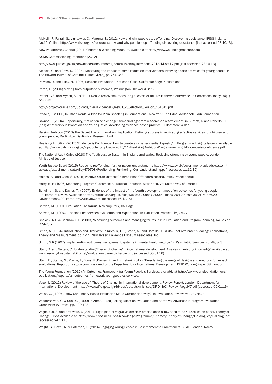McNeill, F., Farrall, S., Lightowler, C., Maruna, S., 2012. How and why people stop offending: Discovering desistance. IRISS Insights No.15. Online: http://www.iriss.org.uk/resources/how-and-why-people-stop-offending-discovering-desistance [last accessed 23.10.13].

New Philanthropy Capital (2011) Children's Wellbeing Measure. Available at http://www.well-beingmeasure.com

NOMS Commissioning Intentions (2012)

http://www.justice.gov.uk/downloads/about/noms/commissioning-intentions-2013-14-oct12.pdf [last accessed 23.10.13].

Nichols, G. and Crow, I., (2004) 'Measuring the impact of crime reduction interventions involving sports activities for young people' in The Howard Journal of Criminal Justice, 43(3), pp.267-283

Pawson, R. and Tilley, N. (1997) Realistic Evaluation, Thousand Oaks, California: Sage Publications

Perrin, B. (2006) Moving from outputs to outcomes, Washington DC: World Bank

Peters, C.S. and Myrick, S., 2011. 'Juvenile recidivism–measuring success or failure: Is there a difference' in Corrections Today, 74(1), pp.33-35

http://project-oracle.com/uploads/files/EvidenceDigest01\_v5\_electron\_version\_151015.pdf

Proscio, T. (2000) In Other Words: A Plea for Plain Speaking in Foundations, New York: The Edna McConnell Clark Foundation.

Raynor, P. (2004) 'Opportunity, motivation and change: some findings from research on resettlement' in Burnett, R and Roberts, C (eds) What works in Probation and Youth justice: developing evidence based practice, Cullompton: Willan

Raising Ambition (2013) The Secret Life of Innovation: Replication, Defining success in replicating effective services for children and young people, Dartington: Dartington Research Unit

Realising Ambition (2015) 'Evidence is Confidence. How to create a richer evidential tapestry' in Programme Insights Issue 2: Available at: http://www.catch-22.org.uk/wp-content/uploads/2015/11/Realising-Ambition-Programme-Insight-Evidence-is-Confidence.pdf

The National Audit Office (2010) The Youth Justice System in England and Wales: Reducing offending by young people, London: Ministry of Justice

Youth Justice Board (2015) Reducing reoffending: furthering our understanding https://www.gov.uk/government/uploads/system/ uploads/attachment\_data/file/479708/Reoffending\_Furthering\_Our\_Understanding.pdf (accessed 11.12.15)

Haines, K., and Case, S. (2015) Positive Youth Justice: Children First, Offenders second, Policy Press: Bristol

Hatry, H. P. (1996) Measuring Program Outcomes: A Practical Approach, Alexandria, VA: United Way of America

Schulman, S. and Davies, T., (2007). Evidence of the impact of the 'youth development model'on outcomes for young people – a literature review. Available at:http://timdavies.org.uk/files/Davies%20and%20Schulman%20%20Positive%20Youth%20 Development%20Literature%20Review.pdf (accessed 16.12.15)

Scriven, M. (1991) Evaluation Thesaurus, Newbury Park, CA: Sage

Scriven, M. (1994). 'The fine line between evaluation and explanation' in Evaluation Practice, 15, 75-77

Shalock, R.L. & Bonham, G.S. (2003) 'Measuring outcomes and managing for results' in Evaluation and Program Planning, No. 26 pp. 229-235

Smith, A. (1994) 'Introduction and Overview' in Kiresuk, T, J., Smith, A., and Cardillo, J,E (Eds) Goal Attainment Scaling: Applications, Theory and Measurement. pp. 1-14, New Jersey: Lawrence Erlbaum Associates, Inc

Smith, G.R.(1997) 'Implementing outcomes management systems in mental health settings' in Psychiatric Services No. 48, p. 3

Stein, D. and Valters, C. 'Understanding 'Theory of Change' in international development: A review of existing knowledge' available at www.learningforsustainability.net/evaluation/theoryofchange.php (accessed 05.01.16)

Stern, E., Stame, N., Mayne, J., Forss, K.,Davies, R. and B. Befani (2012), 'Broadening the range of designs and methods for impact evaluations. Report of a study commissioned by the Department for International Development, DFID Working Paper 38, London

The Young Foundation (2012) An Outcomes Framework for Young People's Services, available at http://www.youngfoundation.org/ publications/reports/an-outcomes-framework-youngpeoples-services.

Vogel, I. (2012) Review of the use of 'Theory of Change' in international development, Review Report, London: Department for International Development http://www.dfid.gov.uk/r4d/pdf/outputs/mis\_spc/DFID\_ToC\_Review\_VogelV7.pdf (accessed 05.01.16)

Weiss, C. ( 1997). 'How Can Theory-Based Evaluation Make Greater Headway?' in Evaluation Review, Vol. 21, No. 4

Widdershiven, G. & Sohl, C. (1999) in Abma, T. (ed) Telling Tales: on evaluation and narrative, Advances in program Evaluation, Grennwich: JAI Press, pp. 109-128

Wigboldus, S. and Brouwers, J. (2011): 'Rigid plan or vague vision: How precise does a ToC need to be?', Discussion paper, Theory of Change, Hivos available at: http://www.hivos.net/Hivos-Knowledge-Programme/Themes/Theory-of-Change/E-dialogues/E-dialogue-2 (accessed 24.10.15)

Wright, S., Hazel, N. & Bateman, T. (2014) Engaging Young People in Resettlement: a Practitioners Guide, London: Nacro